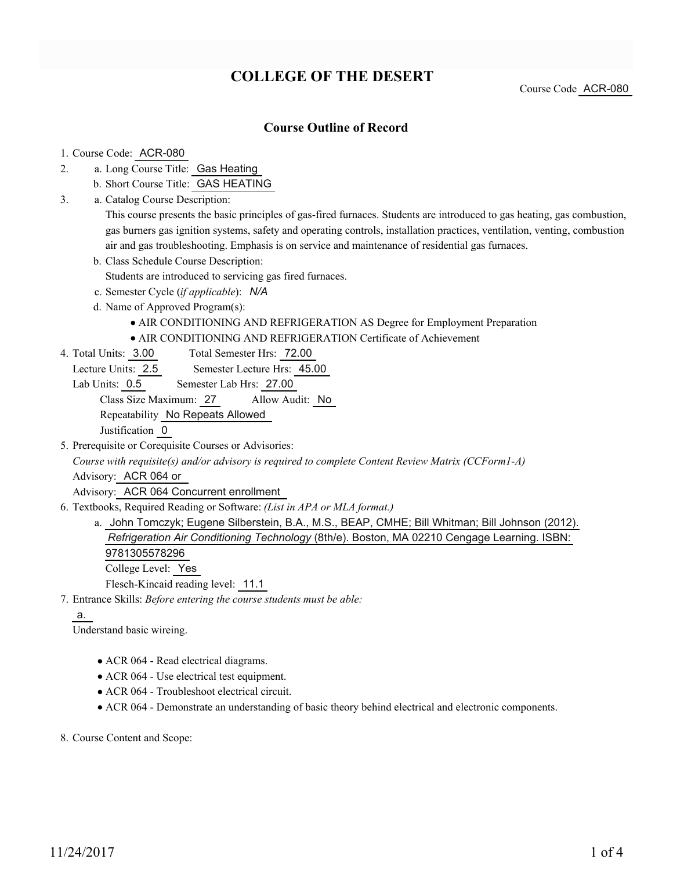# **COLLEGE OF THE DESERT**

Course Code ACR-080

### **Course Outline of Record**

#### 1. Course Code: ACR-080

- a. Long Course Title: Gas Heating 2.
	- b. Short Course Title: GAS HEATING
- Catalog Course Description: a. 3.

This course presents the basic principles of gas-fired furnaces. Students are introduced to gas heating, gas combustion, gas burners gas ignition systems, safety and operating controls, installation practices, ventilation, venting, combustion air and gas troubleshooting. Emphasis is on service and maintenance of residential gas furnaces.

- b. Class Schedule Course Description:
	- Students are introduced to servicing gas fired furnaces.
- c. Semester Cycle (*if applicable*): *N/A*
- d. Name of Approved Program(s):
	- AIR CONDITIONING AND REFRIGERATION AS Degree for Employment Preparation
	- AIR CONDITIONING AND REFRIGERATION Certificate of Achievement
- Total Semester Hrs: 72.00 4. Total Units: 3.00
	- Lecture Units: 2.5 Semester Lecture Hrs: 45.00
- Lab Units: 0.5 Semester Lab Hrs: 27.00

Class Size Maximum: 27 Allow Audit: No

Repeatability No Repeats Allowed

Justification 0

5. Prerequisite or Corequisite Courses or Advisories:

*Course with requisite(s) and/or advisory is required to complete Content Review Matrix (CCForm1-A)*

Advisory: ACR 064 or

Advisory: ACR 064 Concurrent enrollment

Textbooks, Required Reading or Software: *(List in APA or MLA format.)* 6.

a. John Tomczyk; Eugene Silberstein, B.A., M.S., BEAP, CMHE; Bill Whitman; Bill Johnson (2012). *Refrigeration Air Conditioning Technology* (8th/e). Boston, MA 02210 Cengage Learning. ISBN: 9781305578296

College Level: Yes

Flesch-Kincaid reading level: 11.1

Entrance Skills: *Before entering the course students must be able:* 7.

#### a.

Understand basic wireing.

- ACR 064 Read electrical diagrams.
- ACR 064 Use electrical test equipment.
- ACR 064 Troubleshoot electrical circuit.
- ACR 064 Demonstrate an understanding of basic theory behind electrical and electronic components.

8. Course Content and Scope: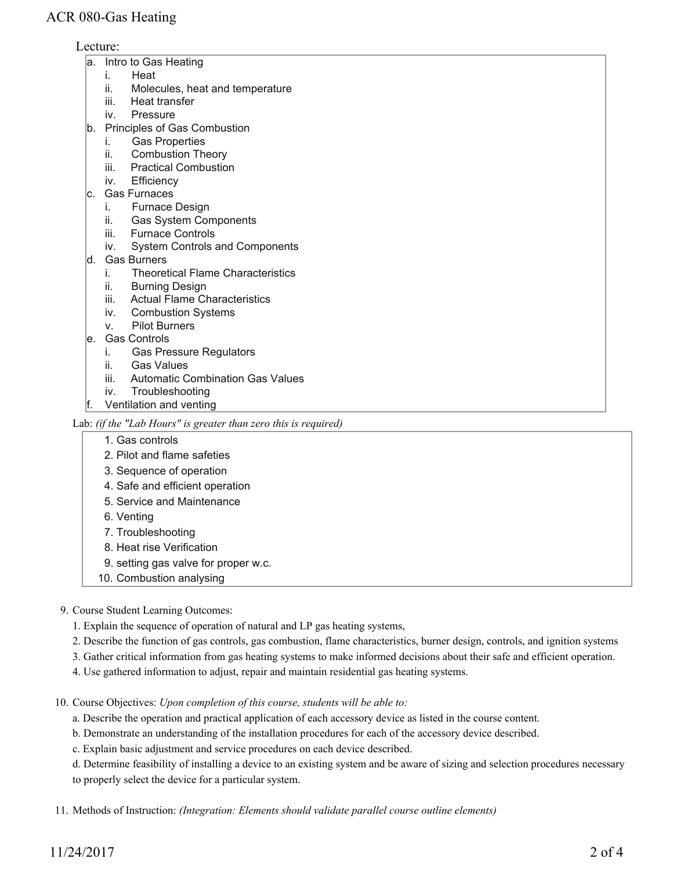### Lecture:

- a. Intro to Gas Heating
	- i. Heat
	- ii. Molecules, heat and temperature
	- iii. Heat transfer
	- iv. Pressure
- b. Principles of Gas Combustion
	- i. Gas Properties
	- ii. Combustion Theory
	- iii. Practical Combustion
	- iv. Efficiency
- c. Gas Furnaces
	- i. Furnace Design
	- ii. Gas System Components
	- iii. Furnace Controls
	- iv. System Controls and Components
- d. Gas Burners
	- i. Theoretical Flame Characteristics
	- ii. Burning Design
	- iii. Actual Flame Characteristics
	- iv. Combustion Systems
	- v. Pilot Burners
- e. Gas Controls
	- i. Gas Pressure Regulators
	- ii. Gas Values
	- iii. Automatic Combination Gas Values
	- iv. Troubleshooting
- f. Ventilation and venting

#### Lab: *(if the "Lab Hours" is greater than zero this is required)*

- 1. Gas controls
- 2. Pilot and flame safeties
- 3. Sequence of operation
- 4. Safe and efficient operation
- 5. Service and Maintenance
- 6. Venting
- 7. Troubleshooting
- 8. Heat rise Verification
- 9. setting gas valve for proper w.c.
- 10. Combustion analysing

#### 9. Course Student Learning Outcomes:

- 1. Explain the sequence of operation of natural and LP gas heating systems,
- 2. Describe the function of gas controls, gas combustion, flame characteristics, burner design, controls, and ignition systems
- 3. Gather critical information from gas heating systems to make informed decisions about their safe and efficient operation.
- 4. Use gathered information to adjust, repair and maintain residential gas heating systems.
- 10. Course Objectives: Upon completion of this course, students will be able to:
	- a. Describe the operation and practical application of each accessory device as listed in the course content.
	- b. Demonstrate an understanding of the installation procedures for each of the accessory device described.
	- c. Explain basic adjustment and service procedures on each device described.
	- d. Determine feasibility of installing a device to an existing system and be aware of sizing and selection procedures necessary to properly select the device for a particular system.
- Methods of Instruction: *(Integration: Elements should validate parallel course outline elements)* 11.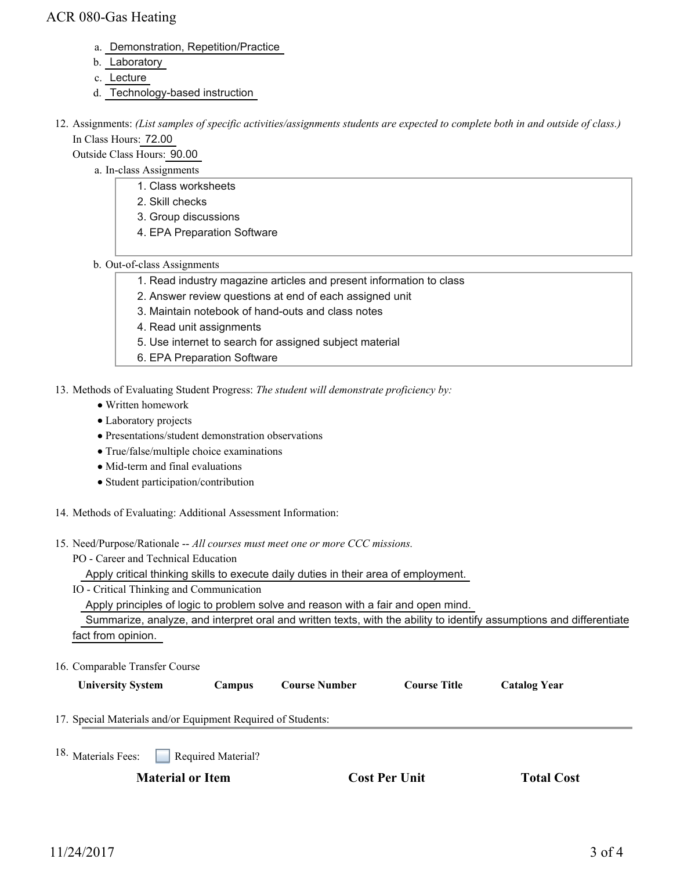### ACR 080-Gas Heating

- a. Demonstration, Repetition/Practice
- b. Laboratory
- c. Lecture
- d. Technology-based instruction
- 12. Assignments: (List samples of specific activities/assignments students are expected to complete both in and outside of class.) In Class Hours: 72.00

Outside Class Hours: 90.00

- a. In-class Assignments
	- 1. Class worksheets
	- 2. Skill checks
	- 3. Group discussions
	- 4. EPA Preparation Software
- b. Out-of-class Assignments
	- 1. Read industry magazine articles and present information to class
	- 2. Answer review questions at end of each assigned unit
	- 3. Maintain notebook of hand-outs and class notes
	- 4. Read unit assignments
	- 5. Use internet to search for assigned subject material
	- 6. EPA Preparation Software
- 13. Methods of Evaluating Student Progress: The student will demonstrate proficiency by:
	- Written homework
	- Laboratory projects
	- Presentations/student demonstration observations
	- True/false/multiple choice examinations
	- Mid-term and final evaluations
	- Student participation/contribution
- 14. Methods of Evaluating: Additional Assessment Information:
- 15. Need/Purpose/Rationale -- All courses must meet one or more CCC missions.
	- PO Career and Technical Education

Apply critical thinking skills to execute daily duties in their area of employment.

IO - Critical Thinking and Communication

Apply principles of logic to problem solve and reason with a fair and open mind.

 Summarize, analyze, and interpret oral and written texts, with the ability to identify assumptions and differentiate fact from opinion.

16. Comparable Transfer Course

| <b>University System</b>                                     | Campus                    | <b>Course Number</b> | <b>Course Title</b> | <b>Catalog Year</b> |  |
|--------------------------------------------------------------|---------------------------|----------------------|---------------------|---------------------|--|
| 17. Special Materials and/or Equipment Required of Students: |                           |                      |                     |                     |  |
| $18.$ Materials Fees:                                        | $\Box$ Required Material? |                      |                     |                     |  |

Materials Fees: **Required Material**?

**Material or Item Cost Per Unit Total Cost**